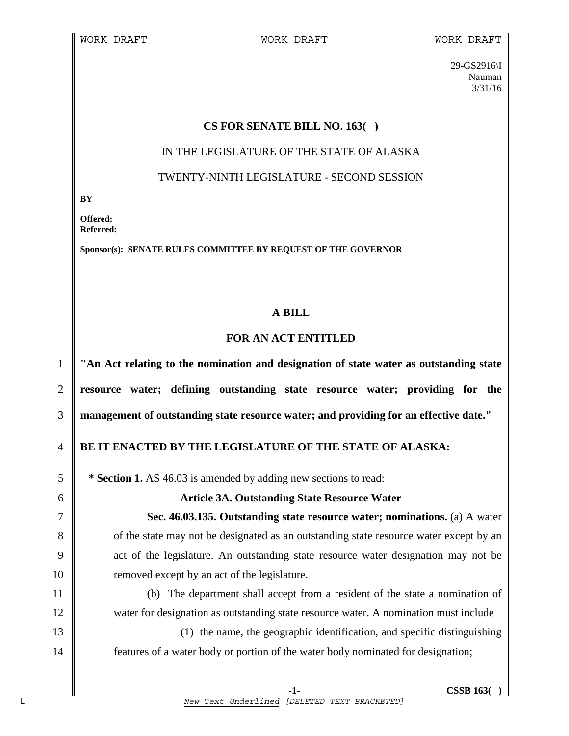29-GS2916\I Nauman 3/31/16

#### **CS FOR SENATE BILL NO. 163( )**

#### IN THE LEGISLATURE OF THE STATE OF ALASKA

# TWENTY-NINTH LEGISLATURE - SECOND SESSION

**BY** 

**Offered: Referred:** 

**Sponsor(s): SENATE RULES COMMITTEE BY REQUEST OF THE GOVERNOR** 

# **A BILL**

# **FOR AN ACT ENTITLED**

1 **"An Act relating to the nomination and designation of state water as outstanding state**  2 **resource water; defining outstanding state resource water; providing for the**  3 **management of outstanding state resource water; and providing for an effective date."** 

# 4 **BE IT ENACTED BY THE LEGISLATURE OF THE STATE OF ALASKA:**

5 **\*** Section 1. AS 46.03 is amended by adding new sections to read:

#### 6 **Article 3A. Outstanding State Resource Water**

7 **Sec. 46.03.135. Outstanding state resource water; nominations.** (a) A water 8 of the state may not be designated as an outstanding state resource water except by an 9 act of the legislature. An outstanding state resource water designation may not be 10 The removed except by an act of the legislature.

11 (b) The department shall accept from a resident of the state a nomination of 12 water for designation as outstanding state resource water. A nomination must include

13 (1) the name, the geographic identification, and specific distinguishing 14 **features of a water body or portion of the water body nominated for designation;**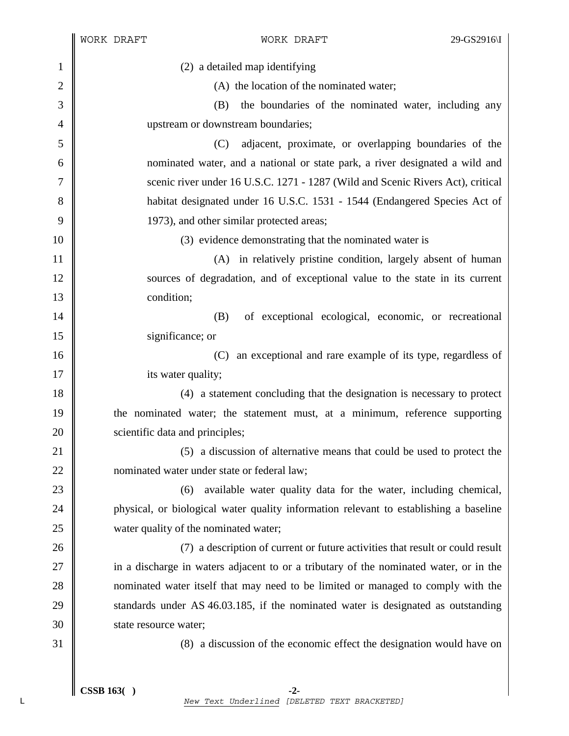|                | WORK DRAFT                                                                       | WORK DRAFT                                                                            | 29-GS2916\I |
|----------------|----------------------------------------------------------------------------------|---------------------------------------------------------------------------------------|-------------|
| 1              | (2) a detailed map identifying                                                   |                                                                                       |             |
| $\overline{2}$ | (A) the location of the nominated water;                                         |                                                                                       |             |
| 3              | the boundaries of the nominated water, including any<br>(B)                      |                                                                                       |             |
| $\overline{4}$ | upstream or downstream boundaries;                                               |                                                                                       |             |
| 5              | (C)                                                                              | adjacent, proximate, or overlapping boundaries of the                                 |             |
| 6              | nominated water, and a national or state park, a river designated a wild and     |                                                                                       |             |
| 7              | scenic river under 16 U.S.C. 1271 - 1287 (Wild and Scenic Rivers Act), critical  |                                                                                       |             |
| 8              | habitat designated under 16 U.S.C. 1531 - 1544 (Endangered Species Act of        |                                                                                       |             |
| 9              | 1973), and other similar protected areas;                                        |                                                                                       |             |
| 10             | (3) evidence demonstrating that the nominated water is                           |                                                                                       |             |
| 11             |                                                                                  | (A) in relatively pristine condition, largely absent of human                         |             |
| 12             |                                                                                  | sources of degradation, and of exceptional value to the state in its current          |             |
| 13             | condition;                                                                       |                                                                                       |             |
| 14             | (B)                                                                              | of exceptional ecological, economic, or recreational                                  |             |
| 15             | significance; or                                                                 |                                                                                       |             |
| 16             | (C)                                                                              | an exceptional and rare example of its type, regardless of                            |             |
| 17             | its water quality;                                                               |                                                                                       |             |
| 18             |                                                                                  | (4) a statement concluding that the designation is necessary to protect               |             |
| 19             | the nominated water; the statement must, at a minimum, reference supporting      |                                                                                       |             |
| 20             | scientific data and principles;                                                  |                                                                                       |             |
| 21             | a discussion of alternative means that could be used to protect the<br>(5)       |                                                                                       |             |
| 22             | nominated water under state or federal law;                                      |                                                                                       |             |
| 23             | (6)                                                                              | available water quality data for the water, including chemical,                       |             |
| 24             |                                                                                  | physical, or biological water quality information relevant to establishing a baseline |             |
| 25             | water quality of the nominated water;                                            |                                                                                       |             |
| 26             |                                                                                  | (7) a description of current or future activities that result or could result         |             |
| 27             |                                                                                  | in a discharge in waters adjacent to or a tributary of the nominated water, or in the |             |
| 28             | nominated water itself that may need to be limited or managed to comply with the |                                                                                       |             |
| 29             |                                                                                  | standards under AS 46.03.185, if the nominated water is designated as outstanding     |             |
| 30             | state resource water;                                                            |                                                                                       |             |
| 31             |                                                                                  | (8) a discussion of the economic effect the designation would have on                 |             |
|                |                                                                                  |                                                                                       |             |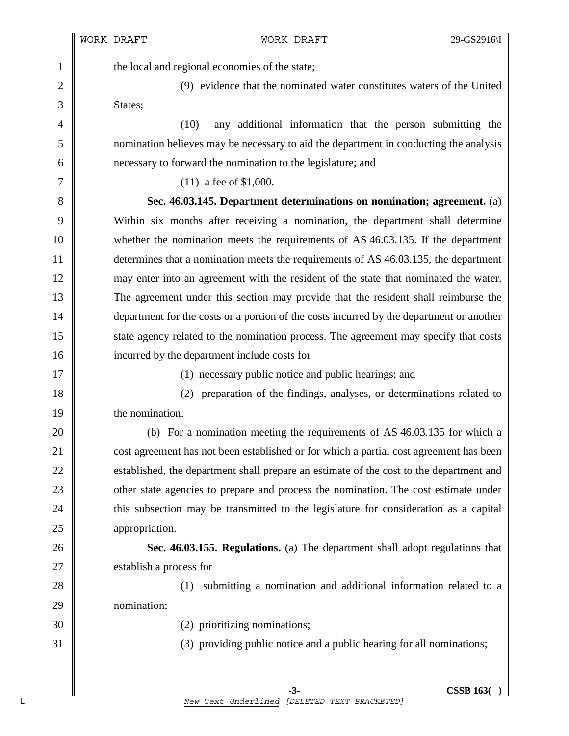1 the local and regional economies of the state;

2 (9) evidence that the nominated water constitutes waters of the United 3 States:

4 (10) any additional information that the person submitting the 5 nomination believes may be necessary to aid the department in conducting the analysis 6 necessary to forward the nomination to the legislature; and

7 || (11) a fee of \$1,000.

8 **Sec. 46.03.145. Department determinations on nomination; agreement.** (a) 9 Within six months after receiving a nomination, the department shall determine 10 whether the nomination meets the requirements of AS 46.03.135. If the department 11 determines that a nomination meets the requirements of AS 46.03.135, the department 12 may enter into an agreement with the resident of the state that nominated the water. 13 The agreement under this section may provide that the resident shall reimburse the 14 **department for the costs or a portion of the costs incurred by the department or another** 15 state agency related to the nomination process. The agreement may specify that costs 16 **incurred by the department include costs for** 

17 || (1) necessary public notice and public hearings; and

18 (2) preparation of the findings, analyses, or determinations related to 19 **the nomination.** 

20 (b) For a nomination meeting the requirements of AS 46.03.135 for which a 21 **cost agreement has not been established or for which a partial cost agreement has been** 22 Solution 22 established, the department shall prepare an estimate of the cost to the department and 23 other state agencies to prepare and process the nomination. The cost estimate under 24 this subsection may be transmitted to the legislature for consideration as a capital 25 **appropriation**.

26 **Sec. 46.03.155. Regulations.** (a) The department shall adopt regulations that 27 Solution 27 September 27 September 27 September 27 September 27 September 27 September 27 September 27 September 27 September 27 September 27 September 27 September 27 September 27 September 27 September 27 September 27

28 (1) submitting a nomination and additional information related to a 29 nomination;

30 (2) prioritizing nominations;

31 (3) providing public notice and a public hearing for all nominations;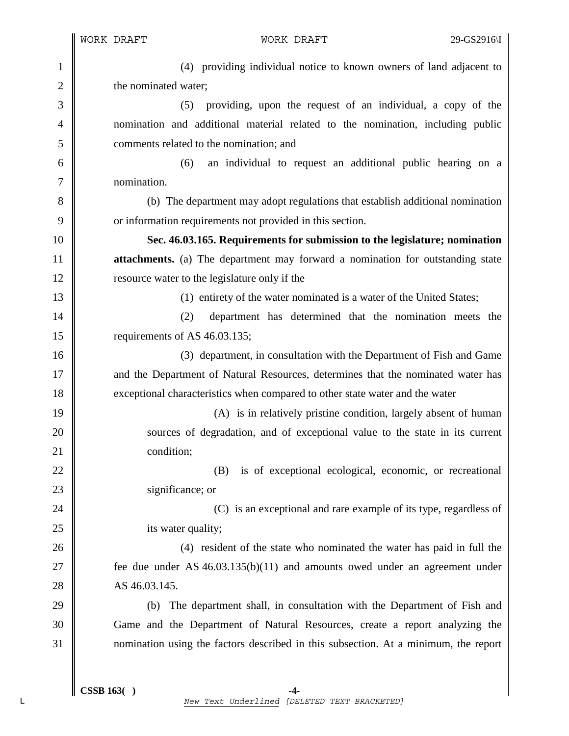1 (4) providing individual notice to known owners of land adjacent to 2 **the nominated water**; 3 (5) providing, upon the request of an individual, a copy of the 4 nomination and additional material related to the nomination, including public 5 comments related to the nomination; and 6 (6) an individual to request an additional public hearing on a 7 nomination. 8 (b) The department may adopt regulations that establish additional nomination 9 or information requirements not provided in this section. 10 **Sec. 46.03.165. Requirements for submission to the legislature; nomination**  11 **attachments.** (a) The department may forward a nomination for outstanding state 12 **lack** resource water to the legislature only if the 13 (1) entirety of the water nominated is a water of the United States; 14 (2) department has determined that the nomination meets the 15 | requirements of AS 46.03.135; 16 (3) department, in consultation with the Department of Fish and Game 17 and the Department of Natural Resources, determines that the nominated water has 18 exceptional characteristics when compared to other state water and the water 19 || (A) is in relatively pristine condition, largely absent of human 20 Sources of degradation, and of exceptional value to the state in its current 21 condition: 22 (B) is of exceptional ecological, economic, or recreational 23 Significance; or 24 **(C)** is an exceptional and rare example of its type, regardless of 25 **its water quality;** 26 (4) resident of the state who nominated the water has paid in full the 27 **fee due under AS 46.03.135(b)(11)** and amounts owed under an agreement under 28 AS 46.03.145. 29 (b) The department shall, in consultation with the Department of Fish and 30 Game and the Department of Natural Resources, create a report analyzing the 31 nomination using the factors described in this subsection. At a minimum, the report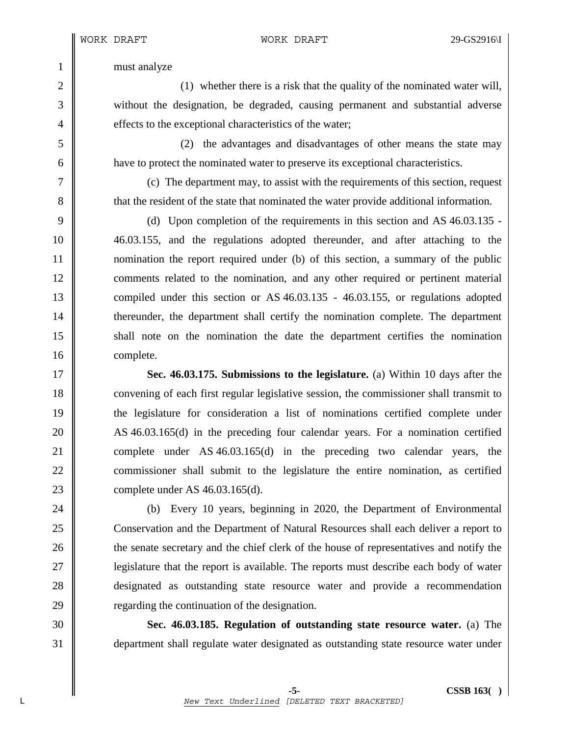1 must analyze

2 (1) whether there is a risk that the quality of the nominated water will, 3 without the designation, be degraded, causing permanent and substantial adverse 4 **e** effects to the exceptional characteristics of the water;

5 (2) the advantages and disadvantages of other means the state may 6 have to protect the nominated water to preserve its exceptional characteristics.

7 (c) The department may, to assist with the requirements of this section, request 8  $\parallel$  that the resident of the state that nominated the water provide additional information.

9 (d) Upon completion of the requirements in this section and AS 46.03.135 - 10 46.03.155, and the regulations adopted thereunder, and after attaching to the 11 nomination the report required under (b) of this section, a summary of the public 12 comments related to the nomination, and any other required or pertinent material 13 compiled under this section or AS 46.03.135 - 46.03.155, or regulations adopted 14 **thereunder, the department shall certify the nomination complete. The department** 15 shall note on the nomination the date the department certifies the nomination 16 complete.

17 **Sec. 46.03.175. Submissions to the legislature.** (a) Within 10 days after the 18 convening of each first regular legislative session, the commissioner shall transmit to 19 the legislature for consideration a list of nominations certified complete under 20 AS 46.03.165(d) in the preceding four calendar years. For a nomination certified 21 complete under AS 46.03.165(d) in the preceding two calendar years, the 22 commissioner shall submit to the legislature the entire nomination, as certified 23 complete under AS 46.03.165(d).

24 (b) Every 10 years, beginning in 2020, the Department of Environmental 25 Conservation and the Department of Natural Resources shall each deliver a report to 26 **the senate secretary and the chief clerk of the house of representatives and notify the** 27 **||** legislature that the report is available. The reports must describe each body of water 28 designated as outstanding state resource water and provide a recommendation 29  $\parallel$  regarding the continuation of the designation.

30 **Sec. 46.03.185. Regulation of outstanding state resource water.** (a) The 31 department shall regulate water designated as outstanding state resource water under